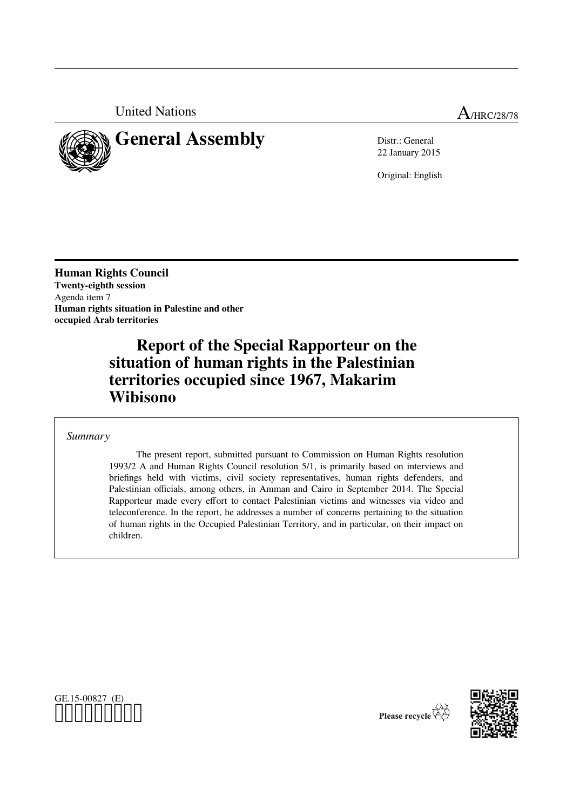United Nations A<sub>/HRC/28/78</sub>



# **General Assembly** Distr.: General

22 January 2015

Original: English

**Human Rights Council Twenty-eighth session** Agenda item 7 **Human rights situation in Palestine and other occupied Arab territories**

> **Report of the Special Rapporteur on the situation of human rights in the Palestinian territories occupied since 1967, Makarim Wibisono**

*Summary*

The present report, submitted pursuant to Commission on Human Rights resolution 1993/2 A and Human Rights Council resolution 5/1, is primarily based on interviews and briefings held with victims, civil society representatives, human rights defenders, and Palestinian officials, among others, in Amman and Cairo in September 2014. The Special Rapporteur made every effort to contact Palestinian victims and witnesses via video and teleconference. In the report, he addresses a number of concerns pertaining to the situation of human rights in the Occupied Palestinian Territory, and in particular, on their impact on children.





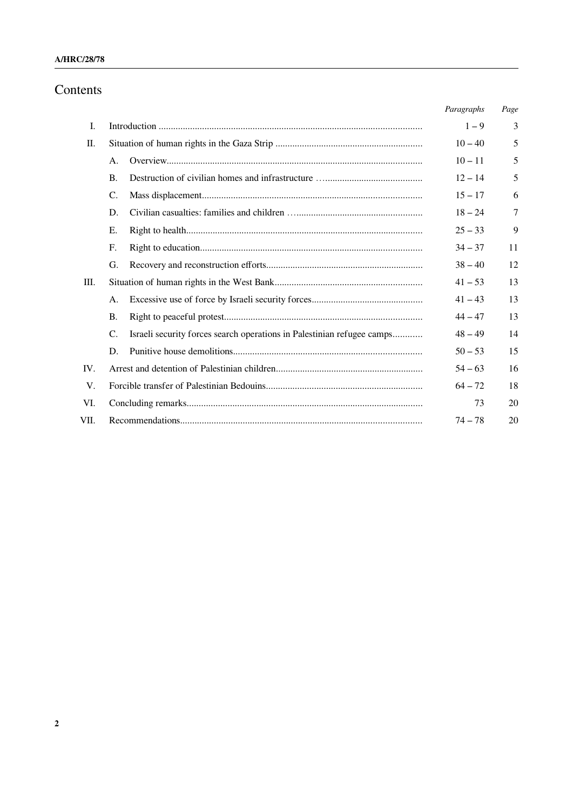# Contents

|      |           |                                                                        | Paragraphs | Page |
|------|-----------|------------------------------------------------------------------------|------------|------|
| I.   |           |                                                                        | $1 - 9$    | 3    |
| II.  |           |                                                                        | $10 - 40$  | 5    |
|      | A.        |                                                                        | $10 - 11$  | 5    |
|      | <b>B.</b> |                                                                        | $12 - 14$  | 5    |
|      | C.        |                                                                        | $15 - 17$  | 6    |
|      | D.        |                                                                        | $18 - 24$  | 7    |
|      | Е.        |                                                                        | $25 - 33$  | 9    |
|      | F.        |                                                                        | $34 - 37$  | 11   |
|      | G.        |                                                                        | $38 - 40$  | 12   |
| III. |           |                                                                        | $41 - 53$  | 13   |
|      | Α.        |                                                                        | $41 - 43$  | 13   |
|      | <b>B.</b> |                                                                        | $44 - 47$  | 13   |
|      | C.        | Israeli security forces search operations in Palestinian refugee camps | $48 - 49$  | 14   |
|      | D.        |                                                                        | $50 - 53$  | 15   |
| IV.  |           |                                                                        | $54 - 63$  | 16   |
| V.   | $64 - 72$ |                                                                        |            | 18   |
| VI.  | 73        |                                                                        |            |      |
| VII. | $74 - 78$ |                                                                        |            |      |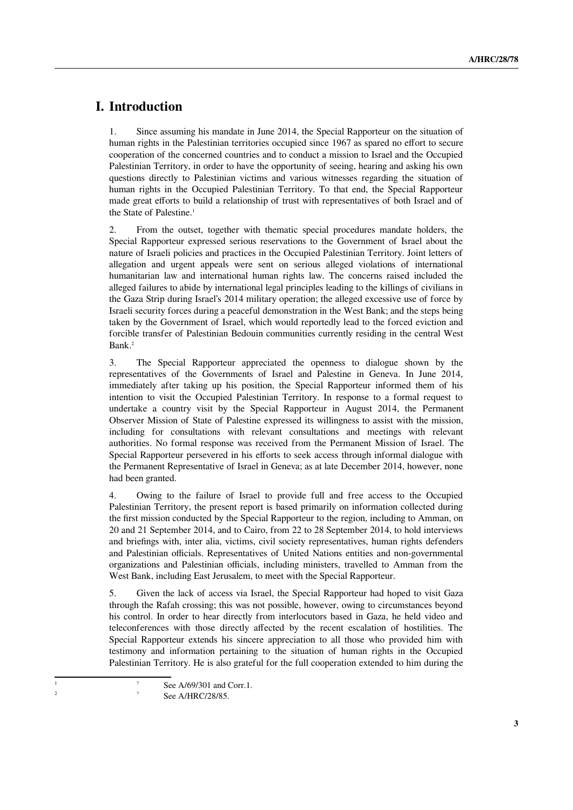# **I. Introduction**

1. Since assuming his mandate in June 2014, the Special Rapporteur on the situation of human rights in the Palestinian territories occupied since 1967 as spared no effort to secure cooperation of the concerned countries and to conduct a mission to Israel and the Occupied Palestinian Territory, in order to have the opportunity of seeing, hearing and asking his own questions directly to Palestinian victims and various witnesses regarding the situation of human rights in the Occupied Palestinian Territory. To that end, the Special Rapporteur made great efforts to build a relationship of trust with representatives of both Israel and of the State of Palestine.<sup>[1](#page-2-0)</sup>

2. From the outset, together with thematic special procedures mandate holders, the Special Rapporteur expressed serious reservations to the Government of Israel about the nature of Israeli policies and practices in the Occupied Palestinian Territory. Joint letters of allegation and urgent appeals were sent on serious alleged violations of international humanitarian law and international human rights law. The concerns raised included the alleged failures to abide by international legal principles leading to the killings of civilians in the Gaza Strip during Israel's 2014 military operation; the alleged excessive use of force by Israeli security forces during a peaceful demonstration in the West Bank; and the steps being taken by the Government of Israel, which would reportedly lead to the forced eviction and forcible transfer of Palestinian Bedouin communities currently residing in the central West Bank.[2](#page-2-1)

3. The Special Rapporteur appreciated the openness to dialogue shown by the representatives of the Governments of Israel and Palestine in Geneva. In June 2014, immediately after taking up his position, the Special Rapporteur informed them of his intention to visit the Occupied Palestinian Territory. In response to a formal request to undertake a country visit by the Special Rapporteur in August 2014, the Permanent Observer Mission of State of Palestine expressed its willingness to assist with the mission, including for consultations with relevant consultations and meetings with relevant authorities. No formal response was received from the Permanent Mission of Israel. The Special Rapporteur persevered in his efforts to seek access through informal dialogue with the Permanent Representative of Israel in Geneva; as at late December 2014, however, none had been granted.

4. Owing to the failure of Israel to provide full and free access to the Occupied Palestinian Territory, the present report is based primarily on information collected during the first mission conducted by the Special Rapporteur to the region, including to Amman, on 20 and 21 September 2014, and to Cairo, from 22 to 28 September 2014, to hold interviews and briefings with, inter alia, victims, civil society representatives, human rights defenders and Palestinian officials. Representatives of United Nations entities and non-governmental organizations and Palestinian officials, including ministers, travelled to Amman from the West Bank, including East Jerusalem, to meet with the Special Rapporteur.

5. Given the lack of access via Israel, the Special Rapporteur had hoped to visit Gaza through the Rafah crossing; this was not possible, however, owing to circumstances beyond his control. In order to hear directly from interlocutors based in Gaza, he held video and teleconferences with those directly affected by the recent escalation of hostilities. The Special Rapporteur extends his sincere appreciation to all those who provided him with testimony and information pertaining to the situation of human rights in the Occupied Palestinian Territory. He is also grateful for the full cooperation extended to him during the

<sup>&</sup>lt;sup>1</sup> See A/69/301 and Corr.1.

<span id="page-2-1"></span><span id="page-2-0"></span>See A/HRC/28/85.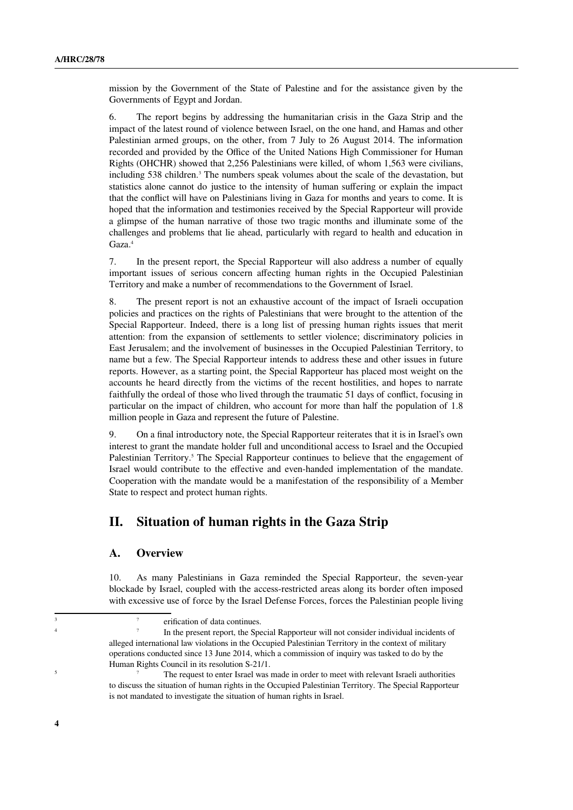mission by the Government of the State of Palestine and for the assistance given by the Governments of Egypt and Jordan.

6. The report begins by addressing the humanitarian crisis in the Gaza Strip and the impact of the latest round of violence between Israel, on the one hand, and Hamas and other Palestinian armed groups, on the other, from 7 July to 26 August 2014. The information recorded and provided by the Office of the United Nations High Commissioner for Human Rights (OHCHR) showed that 2,256 Palestinians were killed, of whom 1,563 were civilians, including 5[3](#page-3-0)8 children.<sup>3</sup> The numbers speak volumes about the scale of the devastation, but statistics alone cannot do justice to the intensity of human suffering or explain the impact that the conflict will have on Palestinians living in Gaza for months and years to come. It is hoped that the information and testimonies received by the Special Rapporteur will provide a glimpse of the human narrative of those two tragic months and illuminate some of the challenges and problems that lie ahead, particularly with regard to health and education in Gaza.<sup>[4](#page-3-1)</sup>

7. In the present report, the Special Rapporteur will also address a number of equally important issues of serious concern affecting human rights in the Occupied Palestinian Territory and make a number of recommendations to the Government of Israel.

8. The present report is not an exhaustive account of the impact of Israeli occupation policies and practices on the rights of Palestinians that were brought to the attention of the Special Rapporteur. Indeed, there is a long list of pressing human rights issues that merit attention: from the expansion of settlements to settler violence; discriminatory policies in East Jerusalem; and the involvement of businesses in the Occupied Palestinian Territory, to name but a few. The Special Rapporteur intends to address these and other issues in future reports. However, as a starting point, the Special Rapporteur has placed most weight on the accounts he heard directly from the victims of the recent hostilities, and hopes to narrate faithfully the ordeal of those who lived through the traumatic 51 days of conflict, focusing in particular on the impact of children, who account for more than half the population of 1.8 million people in Gaza and represent the future of Palestine.

9. On a final introductory note, the Special Rapporteur reiterates that it is in Israel's own interest to grant the mandate holder full and unconditional access to Israel and the Occupied Palestinian Territory.<sup>[5](#page-3-2)</sup> The Special Rapporteur continues to believe that the engagement of Israel would contribute to the effective and even-handed implementation of the mandate. Cooperation with the mandate would be a manifestation of the responsibility of a Member State to respect and protect human rights.

## **II. Situation of human rights in the Gaza Strip**

#### **A. Overview**

10. As many Palestinians in Gaza reminded the Special Rapporteur, the seven-year blockade by Israel, coupled with the access-restricted areas along its border often imposed with excessive use of force by the Israel Defense Forces, forces the Palestinian people living

3 ?

<span id="page-3-1"></span><span id="page-3-0"></span>erification of data continues.

<sup>4 ?</sup> In the present report, the Special Rapporteur will not consider individual incidents of alleged international law violations in the Occupied Palestinian Territory in the context of military operations conducted since 13 June 2014, which a commission of inquiry was tasked to do by the Human Rights Council in its resolution S-21/1.

<span id="page-3-2"></span>The request to enter Israel was made in order to meet with relevant Israeli authorities to discuss the situation of human rights in the Occupied Palestinian Territory. The Special Rapporteur is not mandated to investigate the situation of human rights in Israel.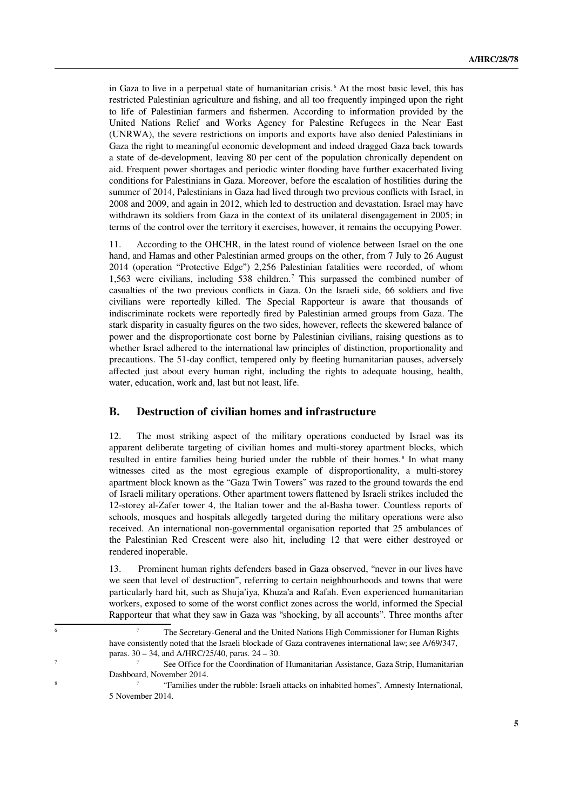in Gaza to live in a perpetual state of humanitarian crisis. [6](#page-4-0) At the most basic level, this has restricted Palestinian agriculture and fishing, and all too frequently impinged upon the right to life of Palestinian farmers and fishermen. According to information provided by the United Nations Relief and Works Agency for Palestine Refugees in the Near East (UNRWA), the severe restrictions on imports and exports have also denied Palestinians in Gaza the right to meaningful economic development and indeed dragged Gaza back towards a state of de-development, leaving 80 per cent of the population chronically dependent on aid. Frequent power shortages and periodic winter flooding have further exacerbated living conditions for Palestinians in Gaza. Moreover, before the escalation of hostilities during the summer of 2014, Palestinians in Gaza had lived through two previous conflicts with Israel, in 2008 and 2009, and again in 2012, which led to destruction and devastation. Israel may have withdrawn its soldiers from Gaza in the context of its unilateral disengagement in 2005; in terms of the control over the territory it exercises, however, it remains the occupying Power.

11. According to the OHCHR, in the latest round of violence between Israel on the one hand, and Hamas and other Palestinian armed groups on the other, from 7 July to 26 August 2014 (operation "Protective Edge") 2,256 Palestinian fatalities were recorded, of whom 1,563 were civilians, including 538 children.[7](#page-4-1) This surpassed the combined number of casualties of the two previous conflicts in Gaza. On the Israeli side, 66 soldiers and five civilians were reportedly killed. The Special Rapporteur is aware that thousands of indiscriminate rockets were reportedly fired by Palestinian armed groups from Gaza. The stark disparity in casualty figures on the two sides, however, reflects the skewered balance of power and the disproportionate cost borne by Palestinian civilians, raising questions as to whether Israel adhered to the international law principles of distinction, proportionality and precautions. The 51-day conflict, tempered only by fleeting humanitarian pauses, adversely affected just about every human right, including the rights to adequate housing, health, water, education, work and, last but not least, life.

#### **B. Destruction of civilian homes and infrastructure**

12. The most striking aspect of the military operations conducted by Israel was its apparent deliberate targeting of civilian homes and multi-storey apartment blocks, which resulted in entire families being buried under the rubble of their homes.<sup>[8](#page-4-2)</sup> In what many witnesses cited as the most egregious example of disproportionality, a multi-storey apartment block known as the "Gaza Twin Towers" was razed to the ground towards the end of Israeli military operations. Other apartment towers flattened by Israeli strikes included the 12-storey al-Zafer tower 4, the Italian tower and the al-Basha tower. Countless reports of schools, mosques and hospitals allegedly targeted during the military operations were also received. An international non-governmental organisation reported that 25 ambulances of the Palestinian Red Crescent were also hit, including 12 that were either destroyed or rendered inoperable.

13. Prominent human rights defenders based in Gaza observed, "never in our lives have we seen that level of destruction", referring to certain neighbourhoods and towns that were particularly hard hit, such as Shuja'iya, Khuza'a and Rafah. Even experienced humanitarian workers, exposed to some of the worst conflict zones across the world, informed the Special Rapporteur that what they saw in Gaza was "shocking, by all accounts". Three months after

<span id="page-4-0"></span>The Secretary-General and the United Nations High Commissioner for Human Rights have consistently noted that the Israeli blockade of Gaza contravenes international law; see A/69/347, paras. 30 – 34, and A/HRC/25/40, paras. 24 – 30.

<span id="page-4-2"></span><span id="page-4-1"></span><sup>7</sup> ? See Office for the Coordination of Humanitarian Assistance, Gaza Strip, Humanitarian Dashboard, November 2014.

<sup>8 ?</sup> "Families under the rubble: Israeli attacks on inhabited homes", Amnesty International, 5 November 2014.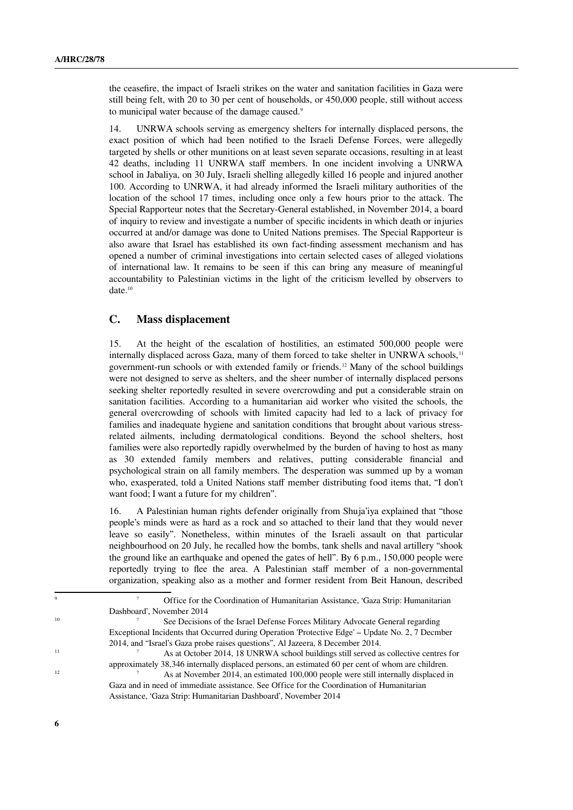the ceasefire, the impact of Israeli strikes on the water and sanitation facilities in Gaza were still being felt, with 20 to 30 per cent of households, or 450,000 people, still without access to municipal water because of the damage caused.<sup>[9](#page-5-0)</sup>

14. UNRWA schools serving as emergency shelters for internally displaced persons, the exact position of which had been notified to the Israeli Defense Forces, were allegedly targeted by shells or other munitions on at least seven separate occasions, resulting in at least 42 deaths, including 11 UNRWA staff members. In one incident involving a UNRWA school in Jabaliya, on 30 July, Israeli shelling allegedly killed 16 people and injured another 100. According to UNRWA, it had already informed the Israeli military authorities of the location of the school 17 times, including once only a few hours prior to the attack. The Special Rapporteur notes that the Secretary-General established, in November 2014, a board of inquiry to review and investigate a number of specific incidents in which death or injuries occurred at and/or damage was done to United Nations premises. The Special Rapporteur is also aware that Israel has established its own fact-finding assessment mechanism and has opened a number of criminal investigations into certain selected cases of alleged violations of international law. It remains to be seen if this can bring any measure of meaningful accountability to Palestinian victims in the light of the criticism levelled by observers to date.<sup>[10](#page-5-1)</sup>

#### **C. Mass displacement**

15. At the height of the escalation of hostilities, an estimated 500,000 people were internally displaced across Gaza, many of them forced to take shelter in UNRWA schools,<sup>[11](#page-5-2)</sup> government-run schools or with extended family or friends.[12](#page-5-3) Many of the school buildings were not designed to serve as shelters, and the sheer number of internally displaced persons seeking shelter reportedly resulted in severe overcrowding and put a considerable strain on sanitation facilities. According to a humanitarian aid worker who visited the schools, the general overcrowding of schools with limited capacity had led to a lack of privacy for families and inadequate hygiene and sanitation conditions that brought about various stressrelated ailments, including dermatological conditions. Beyond the school shelters, host families were also reportedly rapidly overwhelmed by the burden of having to host as many as 30 extended family members and relatives, putting considerable financial and psychological strain on all family members. The desperation was summed up by a woman who, exasperated, told a United Nations staff member distributing food items that, "I don't want food; I want a future for my children".

16. A Palestinian human rights defender originally from Shuja'iya explained that "those people's minds were as hard as a rock and so attached to their land that they would never leave so easily". Nonetheless, within minutes of the Israeli assault on that particular neighbourhood on 20 July, he recalled how the bombs, tank shells and naval artillery "shook the ground like an earthquake and opened the gates of hell". By 6 p.m., 150,000 people were reportedly trying to flee the area. A Palestinian staff member of a non-governmental organization, speaking also as a mother and former resident from Beit Hanoun, described

<span id="page-5-0"></span><sup>9</sup> ? Office for the Coordination of Humanitarian Assistance, 'Gaza Strip: Humanitarian Dashboard', November 2014

<span id="page-5-1"></span><sup>&</sup>lt;sup>10</sup> See Decisions of the Israel Defense Forces Military Advocate General regarding Exceptional Incidents that Occurred during Operation 'Protective Edge' – Update No. 2, 7 Decmber 2014, and "Israel's Gaza probe raises questions", Al Jazeera, 8 December 2014.

<sup>&</sup>lt;sup>11</sup> As at October 2014, 18 UNRWA school buildings still served as collective centres for approximately 38,346 internally displaced persons, an estimated 60 per cent of whom are children. <sup>12</sup> As at November 2014, an estimated 100,000 people were still internally displaced in

<span id="page-5-3"></span><span id="page-5-2"></span>Gaza and in need of immediate assistance. See Office for the Coordination of Humanitarian Assistance, 'Gaza Strip: Humanitarian Dashboard', November 2014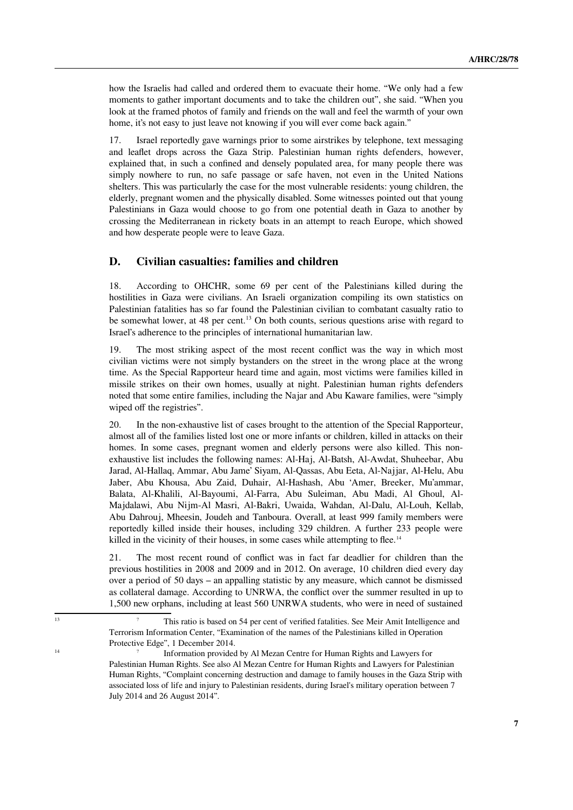how the Israelis had called and ordered them to evacuate their home. "We only had a few moments to gather important documents and to take the children out", she said. "When you look at the framed photos of family and friends on the wall and feel the warmth of your own home, it's not easy to just leave not knowing if you will ever come back again."

17. Israel reportedly gave warnings prior to some airstrikes by telephone, text messaging and leaflet drops across the Gaza Strip. Palestinian human rights defenders, however, explained that, in such a confined and densely populated area, for many people there was simply nowhere to run, no safe passage or safe haven, not even in the United Nations shelters. This was particularly the case for the most vulnerable residents: young children, the elderly, pregnant women and the physically disabled. Some witnesses pointed out that young Palestinians in Gaza would choose to go from one potential death in Gaza to another by crossing the Mediterranean in rickety boats in an attempt to reach Europe, which showed and how desperate people were to leave Gaza.

#### **D. Civilian casualties: families and children**

18. According to OHCHR, some 69 per cent of the Palestinians killed during the hostilities in Gaza were civilians. An Israeli organization compiling its own statistics on Palestinian fatalities has so far found the Palestinian civilian to combatant casualty ratio to be somewhat lower, at 48 per cent.<sup>[13](#page-6-0)</sup> On both counts, serious questions arise with regard to Israel's adherence to the principles of international humanitarian law.

19. The most striking aspect of the most recent conflict was the way in which most civilian victims were not simply bystanders on the street in the wrong place at the wrong time. As the Special Rapporteur heard time and again, most victims were families killed in missile strikes on their own homes, usually at night. Palestinian human rights defenders noted that some entire families, including the Najar and Abu Kaware families, were "simply wiped off the registries".

20. In the non-exhaustive list of cases brought to the attention of the Special Rapporteur, almost all of the families listed lost one or more infants or children, killed in attacks on their homes. In some cases, pregnant women and elderly persons were also killed. This nonexhaustive list includes the following names: Al-Haj, Al-Batsh, Al-Awdat, Shuheebar, Abu Jarad, Al-Hallaq, Ammar, Abu Jame' Siyam, Al-Qassas, Abu Eeta, Al-Najjar, Al-Helu, Abu Jaber, Abu Khousa, Abu Zaid, Duhair, Al-Hashash, Abu 'Amer, Breeker, Mu'ammar, Balata, Al-Khalili, Al-Bayoumi, Al-Farra, Abu Suleiman, Abu Madi, Al Ghoul, Al-Majdalawi, Abu Nijm-Al Masri, Al-Bakri, Uwaida, Wahdan, Al-Dalu, Al-Louh, Kellab, Abu Dahrouj, Mheesin, Joudeh and Tanboura. Overall, at least 999 family members were reportedly killed inside their houses, including 329 children. A further 233 people were killed in the vicinity of their houses, in some cases while attempting to flee.<sup>[14](#page-6-1)</sup>

21. The most recent round of conflict was in fact far deadlier for children than the previous hostilities in 2008 and 2009 and in 2012. On average, 10 children died every day over a period of 50 days – an appalling statistic by any measure, which cannot be dismissed as collateral damage. According to UNRWA, the conflict over the summer resulted in up to 1,500 new orphans, including at least 560 UNRWA students, who were in need of sustained

<span id="page-6-0"></span><sup>&</sup>lt;sup>13</sup> This ratio is based on 54 per cent of verified fatalities. See Meir Amit Intelligence and Terrorism Information Center, "Examination of the names of the Palestinians killed in Operation Protective Edge", 1 December 2014.

<span id="page-6-1"></span><sup>14 ?</sup> Information provided by Al Mezan Centre for Human Rights and Lawyers for Palestinian Human Rights. See also Al Mezan Centre for Human Rights and Lawyers for Palestinian Human Rights, "Complaint concerning destruction and damage to family houses in the Gaza Strip with associated loss of life and injury to Palestinian residents, during Israel's military operation between 7 July 2014 and 26 August 2014".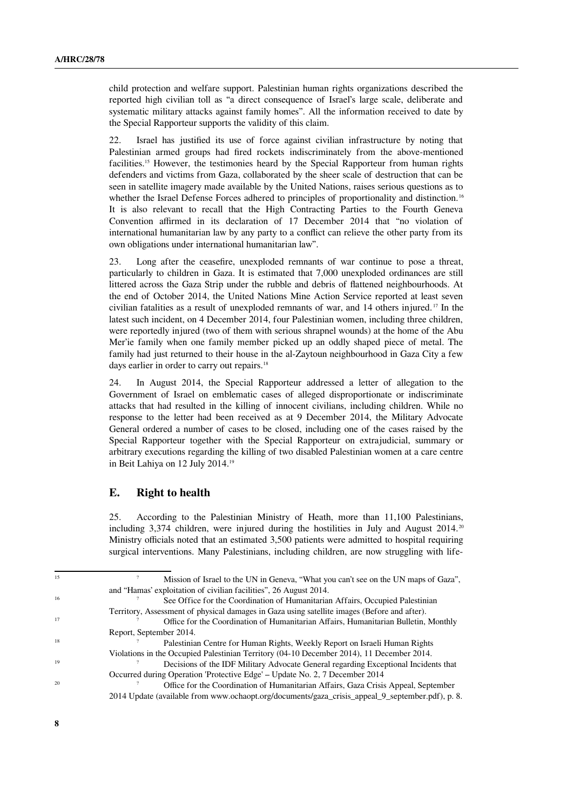child protection and welfare support. Palestinian human rights organizations described the reported high civilian toll as "a direct consequence of Israel's large scale, deliberate and systematic military attacks against family homes". All the information received to date by the Special Rapporteur supports the validity of this claim.

22. Israel has justified its use of force against civilian infrastructure by noting that Palestinian armed groups had fired rockets indiscriminately from the above-mentioned facilities.<sup>[15](#page-7-0)</sup> However, the testimonies heard by the Special Rapporteur from human rights defenders and victims from Gaza, collaborated by the sheer scale of destruction that can be seen in satellite imagery made available by the United Nations, raises serious questions as to whether the Israel Defense Forces adhered to principles of proportionality and distinction.<sup>[16](#page-7-1)</sup> It is also relevant to recall that the High Contracting Parties to the Fourth Geneva Convention affirmed in its declaration of 17 December 2014 that "no violation of international humanitarian law by any party to a conflict can relieve the other party from its own obligations under international humanitarian law".

23. Long after the ceasefire, unexploded remnants of war continue to pose a threat, particularly to children in Gaza. It is estimated that 7,000 unexploded ordinances are still littered across the Gaza Strip under the rubble and debris of flattened neighbourhoods. At the end of October 2014, the United Nations Mine Action Service reported at least seven civilian fatalities as a result of unexploded remnants of war, and 14 others injured.<sup>[17](#page-7-2)</sup> In the latest such incident, on 4 December 2014, four Palestinian women, including three children, were reportedly injured (two of them with serious shrapnel wounds) at the home of the Abu Mer'ie family when one family member picked up an oddly shaped piece of metal. The family had just returned to their house in the al-Zaytoun neighbourhood in Gaza City a few days earlier in order to carry out repairs.<sup>[18](#page-7-3)</sup>

24. In August 2014, the Special Rapporteur addressed a letter of allegation to the Government of Israel on emblematic cases of alleged disproportionate or indiscriminate attacks that had resulted in the killing of innocent civilians, including children. While no response to the letter had been received as at 9 December 2014, the Military Advocate General ordered a number of cases to be closed, including one of the cases raised by the Special Rapporteur together with the Special Rapporteur on extrajudicial, summary or arbitrary executions regarding the killing of two disabled Palestinian women at a care centre in Beit Lahiya on 12 July 2014.[19](#page-7-4)

#### **E. Right to health**

25. According to the Palestinian Ministry of Heath, more than 11,100 Palestinians, including  $3,374$  children, were injured during the hostilities in July and August [20](#page-7-5)14.<sup>20</sup> Ministry officials noted that an estimated 3,500 patients were admitted to hospital requiring surgical interventions. Many Palestinians, including children, are now struggling with life-

<span id="page-7-0"></span><sup>&</sup>lt;sup>15</sup> 2<sup>2</sup> Mission of Israel to the UN in Geneva, "What you can't see on the UN maps of Gaza", and "Hamas' exploitation of civilian facilities", 26 August 2014.

<span id="page-7-1"></span><sup>&</sup>lt;sup>16</sup> See Office for the Coordination of Humanitarian Affairs, Occupied Palestinian Territory, Assessment of physical damages in Gaza using satellite images (Before and after).

<sup>&</sup>lt;sup>17</sup> <sup>2</sup> Office for the Coordination of Humanitarian Affairs, Humanitarian Bulletin, Monthly Report, September 2014.

<sup>&</sup>lt;sup>18</sup> 2015<sup>2</sup> Palestinian Centre for Human Rights, Weekly Report on Israeli Human Rights

<span id="page-7-3"></span><span id="page-7-2"></span>Violations in the Occupied Palestinian Territory (04-10 December 2014), 11 December 2014.

<span id="page-7-4"></span>Decisions of the IDF Military Advocate General regarding Exceptional Incidents that Occurred during Operation 'Protective Edge' – Update No. 2, 7 December 2014

<span id="page-7-5"></span>Office for the Coordination of Humanitarian Affairs, Gaza Crisis Appeal, September 2014 Update (available from www.ochaopt.org/documents/gaza\_crisis\_appeal\_9\_september.pdf), p. 8.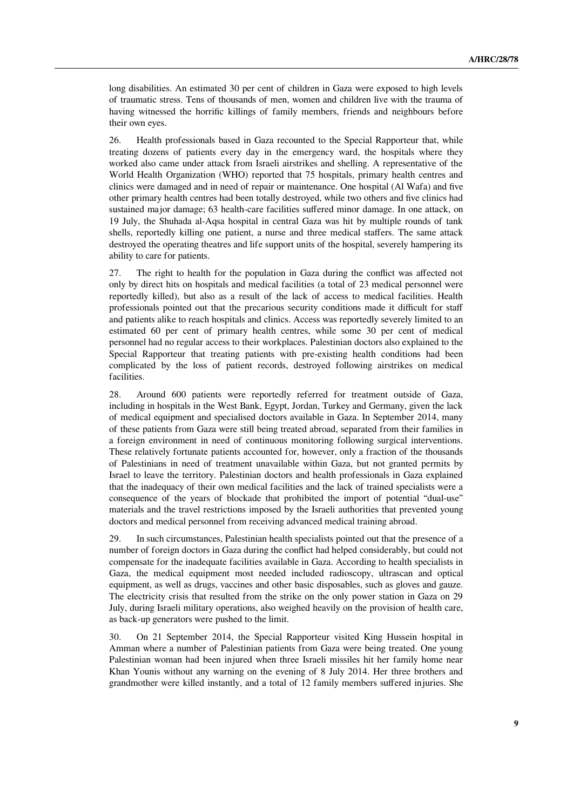long disabilities. An estimated 30 per cent of children in Gaza were exposed to high levels of traumatic stress. Tens of thousands of men, women and children live with the trauma of having witnessed the horrific killings of family members, friends and neighbours before their own eyes.

26. Health professionals based in Gaza recounted to the Special Rapporteur that, while treating dozens of patients every day in the emergency ward, the hospitals where they worked also came under attack from Israeli airstrikes and shelling. A representative of the World Health Organization (WHO) reported that 75 hospitals, primary health centres and clinics were damaged and in need of repair or maintenance. One hospital (Al Wafa) and five other primary health centres had been totally destroyed, while two others and five clinics had sustained major damage; 63 health-care facilities suffered minor damage. In one attack, on 19 July, the Shuhada al-Aqsa hospital in central Gaza was hit by multiple rounds of tank shells, reportedly killing one patient, a nurse and three medical staffers. The same attack destroyed the operating theatres and life support units of the hospital, severely hampering its ability to care for patients.

27. The right to health for the population in Gaza during the conflict was affected not only by direct hits on hospitals and medical facilities (a total of 23 medical personnel were reportedly killed), but also as a result of the lack of access to medical facilities. Health professionals pointed out that the precarious security conditions made it difficult for staff and patients alike to reach hospitals and clinics. Access was reportedly severely limited to an estimated 60 per cent of primary health centres, while some 30 per cent of medical personnel had no regular access to their workplaces. Palestinian doctors also explained to the Special Rapporteur that treating patients with pre-existing health conditions had been complicated by the loss of patient records, destroyed following airstrikes on medical facilities.

28. Around 600 patients were reportedly referred for treatment outside of Gaza, including in hospitals in the West Bank, Egypt, Jordan, Turkey and Germany, given the lack of medical equipment and specialised doctors available in Gaza. In September 2014, many of these patients from Gaza were still being treated abroad, separated from their families in a foreign environment in need of continuous monitoring following surgical interventions. These relatively fortunate patients accounted for, however, only a fraction of the thousands of Palestinians in need of treatment unavailable within Gaza, but not granted permits by Israel to leave the territory. Palestinian doctors and health professionals in Gaza explained that the inadequacy of their own medical facilities and the lack of trained specialists were a consequence of the years of blockade that prohibited the import of potential "dual-use" materials and the travel restrictions imposed by the Israeli authorities that prevented young doctors and medical personnel from receiving advanced medical training abroad.

29. In such circumstances, Palestinian health specialists pointed out that the presence of a number of foreign doctors in Gaza during the conflict had helped considerably, but could not compensate for the inadequate facilities available in Gaza. According to health specialists in Gaza, the medical equipment most needed included radioscopy, ultrascan and optical equipment, as well as drugs, vaccines and other basic disposables, such as gloves and gauze. The electricity crisis that resulted from the strike on the only power station in Gaza on 29 July, during Israeli military operations, also weighed heavily on the provision of health care, as back-up generators were pushed to the limit.

30. On 21 September 2014, the Special Rapporteur visited King Hussein hospital in Amman where a number of Palestinian patients from Gaza were being treated. One young Palestinian woman had been injured when three Israeli missiles hit her family home near Khan Younis without any warning on the evening of 8 July 2014. Her three brothers and grandmother were killed instantly, and a total of 12 family members suffered injuries. She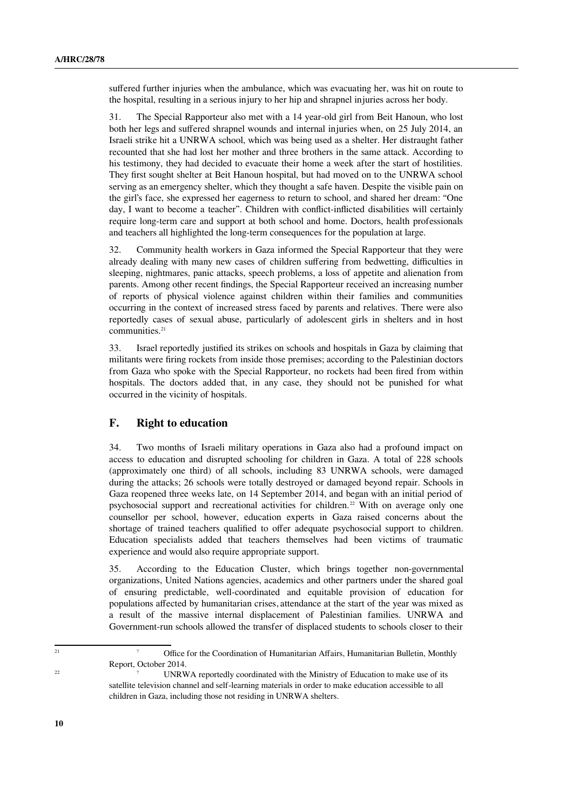suffered further injuries when the ambulance, which was evacuating her, was hit on route to the hospital, resulting in a serious injury to her hip and shrapnel injuries across her body.

31. The Special Rapporteur also met with a 14 year-old girl from Beit Hanoun, who lost both her legs and suffered shrapnel wounds and internal injuries when, on 25 July 2014, an Israeli strike hit a UNRWA school, which was being used as a shelter. Her distraught father recounted that she had lost her mother and three brothers in the same attack. According to his testimony, they had decided to evacuate their home a week after the start of hostilities. They first sought shelter at Beit Hanoun hospital, but had moved on to the UNRWA school serving as an emergency shelter, which they thought a safe haven. Despite the visible pain on the girl's face, she expressed her eagerness to return to school, and shared her dream: "One day, I want to become a teacher". Children with conflict-inflicted disabilities will certainly require long-term care and support at both school and home. Doctors, health professionals and teachers all highlighted the long-term consequences for the population at large.

32. Community health workers in Gaza informed the Special Rapporteur that they were already dealing with many new cases of children suffering from bedwetting, difficulties in sleeping, nightmares, panic attacks, speech problems, a loss of appetite and alienation from parents. Among other recent findings, the Special Rapporteur received an increasing number of reports of physical violence against children within their families and communities occurring in the context of increased stress faced by parents and relatives. There were also reportedly cases of sexual abuse, particularly of adolescent girls in shelters and in host communities.<sup>[21](#page-9-0)</sup>

33. Israel reportedly justified its strikes on schools and hospitals in Gaza by claiming that militants were firing rockets from inside those premises; according to the Palestinian doctors from Gaza who spoke with the Special Rapporteur, no rockets had been fired from within hospitals. The doctors added that, in any case, they should not be punished for what occurred in the vicinity of hospitals.

#### **F. Right to education**

34. Two months of Israeli military operations in Gaza also had a profound impact on access to education and disrupted schooling for children in Gaza. A total of 228 schools (approximately one third) of all schools, including 83 UNRWA schools, were damaged during the attacks; 26 schools were totally destroyed or damaged beyond repair. Schools in Gaza reopened three weeks late, on 14 September 2014, and began with an initial period of psychosocial support and recreational activities for children.[22](#page-9-1) With on average only one counsellor per school, however, education experts in Gaza raised concerns about the shortage of trained teachers qualified to offer adequate psychosocial support to children. Education specialists added that teachers themselves had been victims of traumatic experience and would also require appropriate support.

35. According to the Education Cluster, which brings together non-governmental organizations, United Nations agencies, academics and other partners under the shared goal of ensuring predictable, well-coordinated and equitable provision of education for populations affected by humanitarian crises, attendance at the start of the year was mixed as a result of the massive internal displacement of Palestinian families. UNRWA and Government-run schools allowed the transfer of displaced students to schools closer to their

<span id="page-9-1"></span>

<span id="page-9-0"></span><sup>&</sup>lt;sup>21</sup> <sup>21</sup> Office for the Coordination of Humanitarian Affairs, Humanitarian Bulletin, Monthly Report, October 2014.

<sup>&</sup>lt;sup>22</sup> <sup>22</sup> UNRWA reportedly coordinated with the Ministry of Education to make use of its satellite television channel and self-learning materials in order to make education accessible to all children in Gaza, including those not residing in UNRWA shelters.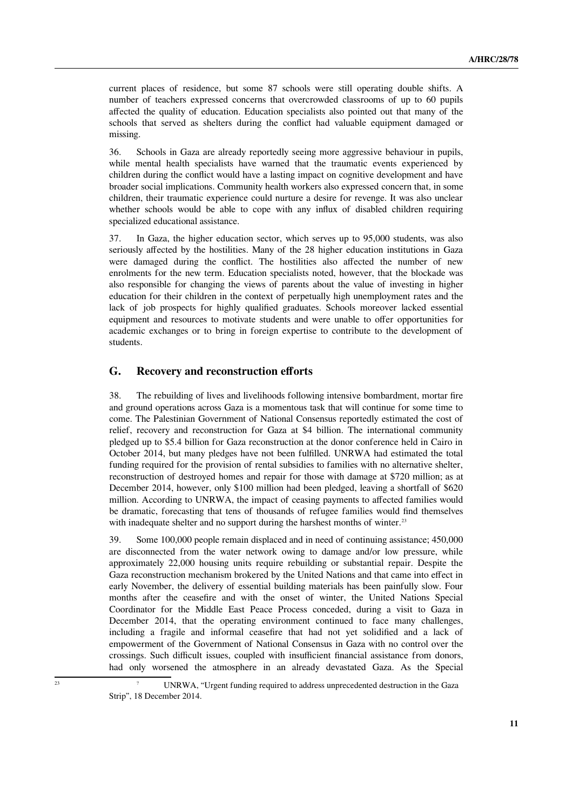current places of residence, but some 87 schools were still operating double shifts. A number of teachers expressed concerns that overcrowded classrooms of up to 60 pupils affected the quality of education. Education specialists also pointed out that many of the schools that served as shelters during the conflict had valuable equipment damaged or missing.

36. Schools in Gaza are already reportedly seeing more aggressive behaviour in pupils, while mental health specialists have warned that the traumatic events experienced by children during the conflict would have a lasting impact on cognitive development and have broader social implications. Community health workers also expressed concern that, in some children, their traumatic experience could nurture a desire for revenge. It was also unclear whether schools would be able to cope with any influx of disabled children requiring specialized educational assistance.

37. In Gaza, the higher education sector, which serves up to 95,000 students, was also seriously affected by the hostilities. Many of the 28 higher education institutions in Gaza were damaged during the conflict. The hostilities also affected the number of new enrolments for the new term. Education specialists noted, however, that the blockade was also responsible for changing the views of parents about the value of investing in higher education for their children in the context of perpetually high unemployment rates and the lack of job prospects for highly qualified graduates. Schools moreover lacked essential equipment and resources to motivate students and were unable to offer opportunities for academic exchanges or to bring in foreign expertise to contribute to the development of students.

#### **G. Recovery and reconstruction efforts**

38. The rebuilding of lives and livelihoods following intensive bombardment, mortar fire and ground operations across Gaza is a momentous task that will continue for some time to come. The Palestinian Government of National Consensus reportedly estimated the cost of relief, recovery and reconstruction for Gaza at \$4 billion. The international community pledged up to \$5.4 billion for Gaza reconstruction at the donor conference held in Cairo in October 2014, but many pledges have not been fulfilled. UNRWA had estimated the total funding required for the provision of rental subsidies to families with no alternative shelter, reconstruction of destroyed homes and repair for those with damage at \$720 million; as at December 2014, however, only \$100 million had been pledged, leaving a shortfall of \$620 million. According to UNRWA, the impact of ceasing payments to affected families would be dramatic, forecasting that tens of thousands of refugee families would find themselves with inadequate shelter and no support during the harshest months of winter.<sup>[23](#page-10-0)</sup>

39. Some 100,000 people remain displaced and in need of continuing assistance; 450,000 are disconnected from the water network owing to damage and/or low pressure, while approximately 22,000 housing units require rebuilding or substantial repair. Despite the Gaza reconstruction mechanism brokered by the United Nations and that came into effect in early November, the delivery of essential building materials has been painfully slow. Four months after the ceasefire and with the onset of winter, the United Nations Special Coordinator for the Middle East Peace Process conceded, during a visit to Gaza in December 2014, that the operating environment continued to face many challenges, including a fragile and informal ceasefire that had not yet solidified and a lack of empowerment of the Government of National Consensus in Gaza with no control over the crossings. Such difficult issues, coupled with insufficient financial assistance from donors, had only worsened the atmosphere in an already devastated Gaza. As the Special

<span id="page-10-0"></span><sup>&</sup>lt;sup>23</sup> UNRWA, "Urgent funding required to address unprecedented destruction in the Gaza Strip", 18 December 2014.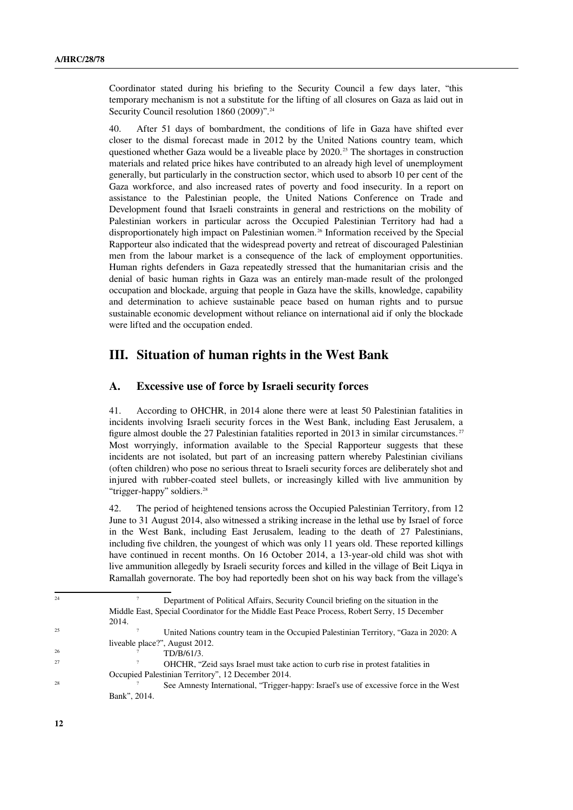Coordinator stated during his briefing to the Security Council a few days later, "this temporary mechanism is not a substitute for the lifting of all closures on Gaza as laid out in Security Council resolution 1860 (2009)".<sup>[24](#page-11-0)</sup>

40. After 51 days of bombardment, the conditions of life in Gaza have shifted ever closer to the dismal forecast made in 2012 by the United Nations country team, which questioned whether Gaza would be a liveable place by 2020.<sup>[25](#page-11-1)</sup> The shortages in construction materials and related price hikes have contributed to an already high level of unemployment generally, but particularly in the construction sector, which used to absorb 10 per cent of the Gaza workforce, and also increased rates of poverty and food insecurity. In a report on assistance to the Palestinian people, the United Nations Conference on Trade and Development found that Israeli constraints in general and restrictions on the mobility of Palestinian workers in particular across the Occupied Palestinian Territory had had a disproportionately high impact on Palestinian women.<sup>[26](#page-11-2)</sup> Information received by the Special Rapporteur also indicated that the widespread poverty and retreat of discouraged Palestinian men from the labour market is a consequence of the lack of employment opportunities. Human rights defenders in Gaza repeatedly stressed that the humanitarian crisis and the denial of basic human rights in Gaza was an entirely man-made result of the prolonged occupation and blockade, arguing that people in Gaza have the skills, knowledge, capability and determination to achieve sustainable peace based on human rights and to pursue sustainable economic development without reliance on international aid if only the blockade were lifted and the occupation ended.

## **III. Situation of human rights in the West Bank**

#### **A. Excessive use of force by Israeli security forces**

41. According to OHCHR, in 2014 alone there were at least 50 Palestinian fatalities in incidents involving Israeli security forces in the West Bank, including East Jerusalem, a figure almost double the 27 Palestinian fatalities reported in 2013 in similar circumstances. [27](#page-11-3) Most worryingly, information available to the Special Rapporteur suggests that these incidents are not isolated, but part of an increasing pattern whereby Palestinian civilians (often children) who pose no serious threat to Israeli security forces are deliberately shot and injured with rubber-coated steel bullets, or increasingly killed with live ammunition by "trigger-happy" soldiers.<sup>[28](#page-11-4)</sup>

42. The period of heightened tensions across the Occupied Palestinian Territory, from 12 June to 31 August 2014, also witnessed a striking increase in the lethal use by Israel of force in the West Bank, including East Jerusalem, leading to the death of 27 Palestinians, including five children, the youngest of which was only 11 years old. These reported killings have continued in recent months. On 16 October 2014, a 13-year-old child was shot with live ammunition allegedly by Israeli security forces and killed in the village of Beit Liqya in Ramallah governorate. The boy had reportedly been shot on his way back from the village's

 $^{26}$   $^{26}$   $^{27}$   $^{27}$   $^{27}$   $^{27}$   $^{28}$   $^{29}$   $^{20}$   $^{21}$   $^{20}$   $^{21}$   $^{20}$   $^{21}$   $^{20}$   $^{21}$   $^{20}$   $^{21}$   $^{20}$   $^{21}$   $^{20}$   $^{21}$   $^{20}$   $^{21}$   $^{20}$   $^{21}$   $^{20}$   $^{21}$   $^{20}$   $^{21}$   $^{20}$   $^{21$ 

<span id="page-11-0"></span><sup>&</sup>lt;sup>24</sup> Department of Political Affairs, Security Council briefing on the situation in the Middle East, Special Coordinator for the Middle East Peace Process, Robert Serry, 15 December 2014.

<sup>&</sup>lt;sup>25</sup> <sup>25</sup> United Nations country team in the Occupied Palestinian Territory, "Gaza in 2020: A liveable place?", August 2012.

<span id="page-11-3"></span><span id="page-11-2"></span><span id="page-11-1"></span>OHCHR, "Zeid says Israel must take action to curb rise in protest fatalities in Occupied Palestinian Territory", 12 December 2014.

<span id="page-11-4"></span><sup>&</sup>lt;sup>2</sup> See Amnesty International, "Trigger-happy: Israel's use of excessive force in the West Bank", 2014.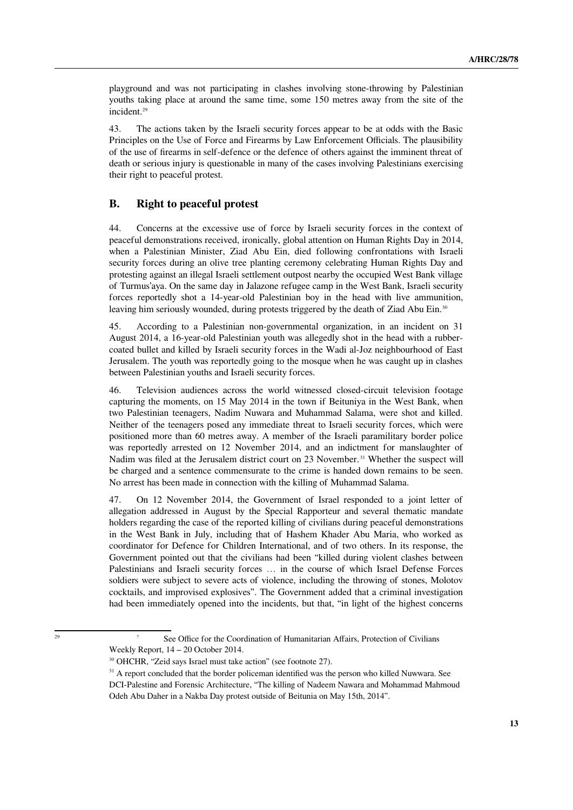playground and was not participating in clashes involving stone-throwing by Palestinian youths taking place at around the same time, some 150 metres away from the site of the incident.<sup>[29](#page-12-0)</sup>

43. The actions taken by the Israeli security forces appear to be at odds with the Basic Principles on the Use of Force and Firearms by Law Enforcement Officials. The plausibility of the use of firearms in self-defence or the defence of others against the imminent threat of death or serious injury is questionable in many of the cases involving Palestinians exercising their right to peaceful protest.

#### **B. Right to peaceful protest**

44. Concerns at the excessive use of force by Israeli security forces in the context of peaceful demonstrations received, ironically, global attention on Human Rights Day in 2014, when a Palestinian Minister, Ziad Abu Ein, died following confrontations with Israeli security forces during an olive tree planting ceremony celebrating Human Rights Day and protesting against an illegal Israeli settlement outpost nearby the occupied West Bank village of Turmus'aya. On the same day in Jalazone refugee camp in the West Bank, Israeli security forces reportedly shot a 14-year-old Palestinian boy in the head with live ammunition, leaving him seriously wounded, during protests triggered by the death of Ziad Abu Ein.<sup>[30](#page-12-1)</sup>

45. According to a Palestinian non-governmental organization, in an incident on 31 August 2014, a 16-year-old Palestinian youth was allegedly shot in the head with a rubbercoated bullet and killed by Israeli security forces in the Wadi al-Joz neighbourhood of East Jerusalem. The youth was reportedly going to the mosque when he was caught up in clashes between Palestinian youths and Israeli security forces.

46. Television audiences across the world witnessed closed-circuit television footage capturing the moments, on 15 May 2014 in the town if Beituniya in the West Bank, when two Palestinian teenagers, Nadim Nuwara and Muhammad Salama, were shot and killed. Neither of the teenagers posed any immediate threat to Israeli security forces, which were positioned more than 60 metres away. A member of the Israeli paramilitary border police was reportedly arrested on 12 November 2014, and an indictment for manslaughter of Nadim was filed at the Jerusalem district court on 23 November. [31](#page-12-2) Whether the suspect will be charged and a sentence commensurate to the crime is handed down remains to be seen. No arrest has been made in connection with the killing of Muhammad Salama.

47. On 12 November 2014, the Government of Israel responded to a joint letter of allegation addressed in August by the Special Rapporteur and several thematic mandate holders regarding the case of the reported killing of civilians during peaceful demonstrations in the West Bank in July, including that of Hashem Khader Abu Maria, who worked as coordinator for Defence for Children International, and of two others. In its response, the Government pointed out that the civilians had been "killed during violent clashes between Palestinians and Israeli security forces … in the course of which Israel Defense Forces soldiers were subject to severe acts of violence, including the throwing of stones, Molotov cocktails, and improvised explosives". The Government added that a criminal investigation had been immediately opened into the incidents, but that, "in light of the highest concerns

<sup>&</sup>lt;sup>29</sup> <sup>29</sup> See Office for the Coordination of Humanitarian Affairs, Protection of Civilians Weekly Report, 14 – 20 October 2014.

<span id="page-12-1"></span><span id="page-12-0"></span><sup>30</sup> OHCHR, "Zeid says Israel must take action" (see footnote 27).

<span id="page-12-2"></span><sup>&</sup>lt;sup>31</sup> A report concluded that the border policeman identified was the person who killed Nuwwara. See DCI-Palestine and Forensic Architecture, "The killing of Nadeem Nawara and Mohammad Mahmoud Odeh Abu Daher in a Nakba Day protest outside of Beitunia on May 15th, 2014".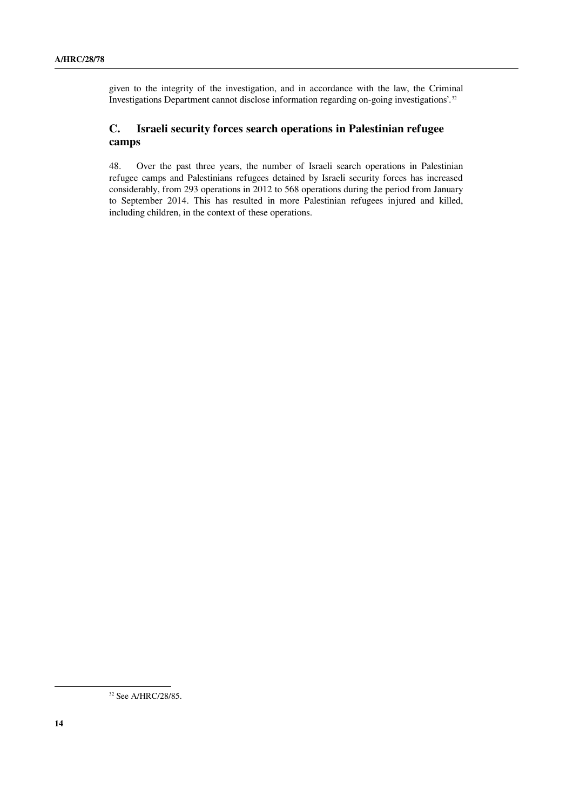given to the integrity of the investigation, and in accordance with the law, the Criminal Investigations Department cannot disclose information regarding on-going investigations'.[32](#page-13-0)

## **C. Israeli security forces search operations in Palestinian refugee camps**

48. Over the past three years, the number of Israeli search operations in Palestinian refugee camps and Palestinians refugees detained by Israeli security forces has increased considerably, from 293 operations in 2012 to 568 operations during the period from January to September 2014. This has resulted in more Palestinian refugees injured and killed, including children, in the context of these operations.

<span id="page-13-0"></span><sup>&</sup>lt;sup>32</sup> See A/HRC/28/85.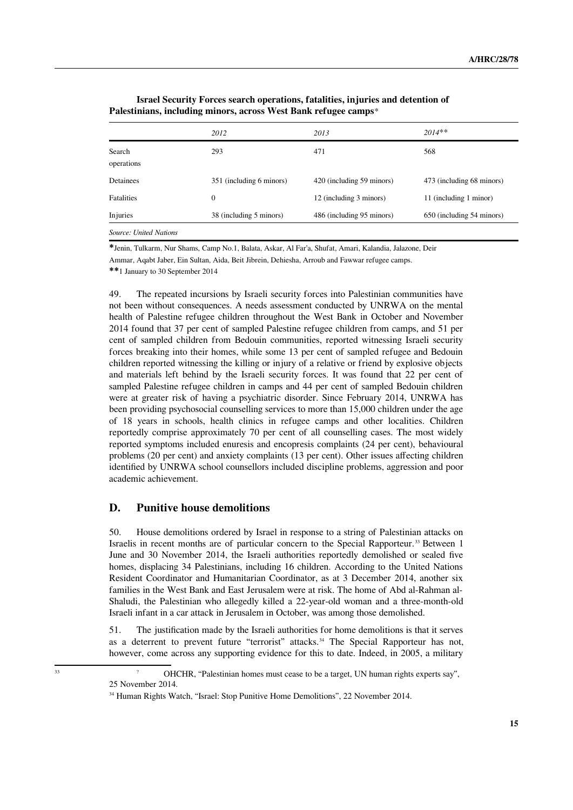|                        | 2012                     | 2013                      | $2014**$                  |
|------------------------|--------------------------|---------------------------|---------------------------|
| Search<br>operations   | 293                      | 471                       | 568                       |
| Detainees              | 351 (including 6 minors) | 420 (including 59 minors) | 473 (including 68 minors) |
| <b>Fatalities</b>      | $\mathbf{0}$             | 12 (including 3 minors)   | 11 (including 1 minor)    |
| Injuries               | 38 (including 5 minors)  | 486 (including 95 minors) | 650 (including 54 minors) |
| Source: United Nations |                          |                           |                           |

**Israel Security Forces search operations, fatalities, injuries and detention of Palestinians, including minors, across West Bank refugee camps**\*

**\***Jenin, Tulkarm, Nur Shams, Camp No.1, Balata, Askar, Al Far'a, Shufat, Amari, Kalandia, Jalazone, Deir Ammar, Aqabt Jaber, Ein Sultan, Aida, Beit Jibrein, Dehiesha, Arroub and Fawwar refugee camps. **\*\***1 January to 30 September 2014

49. The repeated incursions by Israeli security forces into Palestinian communities have not been without consequences. A needs assessment conducted by UNRWA on the mental health of Palestine refugee children throughout the West Bank in October and November 2014 found that 37 per cent of sampled Palestine refugee children from camps, and 51 per cent of sampled children from Bedouin communities, reported witnessing Israeli security forces breaking into their homes, while some 13 per cent of sampled refugee and Bedouin children reported witnessing the killing or injury of a relative or friend by explosive objects and materials left behind by the Israeli security forces. It was found that 22 per cent of sampled Palestine refugee children in camps and 44 per cent of sampled Bedouin children were at greater risk of having a psychiatric disorder. Since February 2014, UNRWA has been providing psychosocial counselling services to more than 15,000 children under the age of 18 years in schools, health clinics in refugee camps and other localities. Children reportedly comprise approximately 70 per cent of all counselling cases. The most widely reported symptoms included enuresis and encopresis complaints (24 per cent), behavioural problems (20 per cent) and anxiety complaints (13 per cent). Other issues affecting children identified by UNRWA school counsellors included discipline problems, aggression and poor academic achievement.

#### **D. Punitive house demolitions**

50. House demolitions ordered by Israel in response to a string of Palestinian attacks on Israelis in recent months are of particular concern to the Special Rapporteur.<sup>[33](#page-14-0)</sup> Between 1 June and 30 November 2014, the Israeli authorities reportedly demolished or sealed five homes, displacing 34 Palestinians, including 16 children. According to the United Nations Resident Coordinator and Humanitarian Coordinator, as at 3 December 2014, another six families in the West Bank and East Jerusalem were at risk. The home of Abd al-Rahman al-Shaludi, the Palestinian who allegedly killed a 22-year-old woman and a three-month-old Israeli infant in a car attack in Jerusalem in October, was among those demolished.

51. The justification made by the Israeli authorities for home demolitions is that it serves as a deterrent to prevent future "terrorist" attacks.<sup>[34](#page-14-1)</sup> The Special Rapporteur has not, however, come across any supporting evidence for this to date. Indeed, in 2005, a military

<sup>&</sup>lt;sup>33</sup> <sup>2</sup> OHCHR, "Palestinian homes must cease to be a target, UN human rights experts say", 25 November 2014.

<span id="page-14-1"></span><span id="page-14-0"></span><sup>&</sup>lt;sup>34</sup> Human Rights Watch, "Israel: Stop Punitive Home Demolitions", 22 November 2014.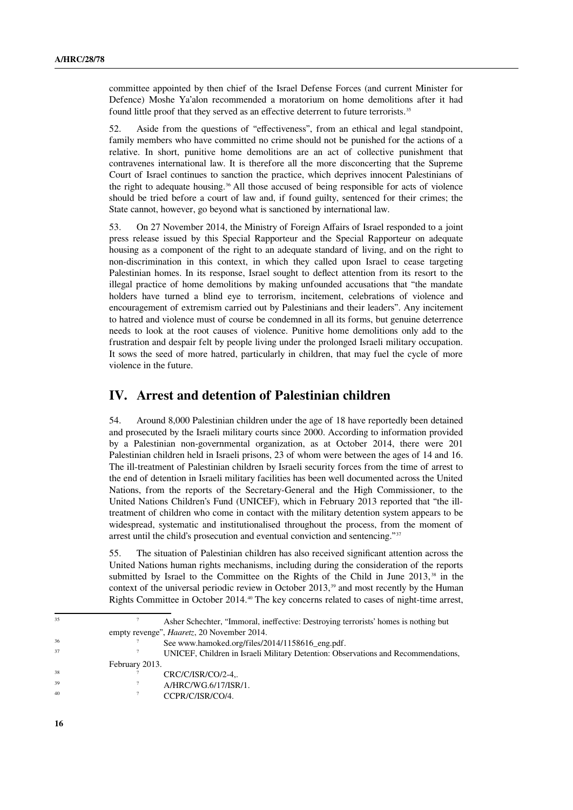committee appointed by then chief of the Israel Defense Forces (and current Minister for Defence) Moshe Ya'alon recommended a moratorium on home demolitions after it had found little proof that they served as an effective deterrent to future terrorists.<sup>[35](#page-15-0)</sup>

52. Aside from the questions of "effectiveness", from an ethical and legal standpoint, family members who have committed no crime should not be punished for the actions of a relative. In short, punitive home demolitions are an act of collective punishment that contravenes international law. It is therefore all the more disconcerting that the Supreme Court of Israel continues to sanction the practice, which deprives innocent Palestinians of the right to adequate housing.<sup>[36](#page-15-1)</sup> All those accused of being responsible for acts of violence should be tried before a court of law and, if found guilty, sentenced for their crimes; the State cannot, however, go beyond what is sanctioned by international law.

53. On 27 November 2014, the Ministry of Foreign Affairs of Israel responded to a joint press release issued by this Special Rapporteur and the Special Rapporteur on adequate housing as a component of the right to an adequate standard of living, and on the right to non-discrimination in this context, in which they called upon Israel to cease targeting Palestinian homes. In its response, Israel sought to deflect attention from its resort to the illegal practice of home demolitions by making unfounded accusations that "the mandate holders have turned a blind eye to terrorism, incitement, celebrations of violence and encouragement of extremism carried out by Palestinians and their leaders". Any incitement to hatred and violence must of course be condemned in all its forms, but genuine deterrence needs to look at the root causes of violence. Punitive home demolitions only add to the frustration and despair felt by people living under the prolonged Israeli military occupation. It sows the seed of more hatred, particularly in children, that may fuel the cycle of more violence in the future.

## **IV. Arrest and detention of Palestinian children**

54. Around 8,000 Palestinian children under the age of 18 have reportedly been detained and prosecuted by the Israeli military courts since 2000. According to information provided by a Palestinian non-governmental organization, as at October 2014, there were 201 Palestinian children held in Israeli prisons, 23 of whom were between the ages of 14 and 16. The ill-treatment of Palestinian children by Israeli security forces from the time of arrest to the end of detention in Israeli military facilities has been well documented across the United Nations, from the reports of the Secretary-General and the High Commissioner, to the United Nations Children's Fund (UNICEF), which in February 2013 reported that "the illtreatment of children who come in contact with the military detention system appears to be widespread, systematic and institutionalised throughout the process, from the moment of arrest until the child's prosecution and eventual conviction and sentencing."[37](#page-15-2)

55. The situation of Palestinian children has also received significant attention across the United Nations human rights mechanisms, including during the consideration of the reports submitted by Israel to the Committee on the Rights of the Child in June  $2013<sup>38</sup>$  $2013<sup>38</sup>$  $2013<sup>38</sup>$  in the context of the universal periodic review in October  $2013<sup>39</sup>$  $2013<sup>39</sup>$  $2013<sup>39</sup>$  and most recently by the Human Rights Committee in October 2014.[40](#page-15-5) The key concerns related to cases of night-time arrest,

<span id="page-15-5"></span><span id="page-15-4"></span><span id="page-15-3"></span><span id="page-15-2"></span><span id="page-15-1"></span><span id="page-15-0"></span><sup>35</sup> ? Asher Schechter, "Immoral, ineffective: Destroying terrorists' homes is nothing but empty revenge", *Haaretz*, 20 November 2014.  $\frac{36}{200}$  See www.hamoked.org/files/2014/1158616\_eng.pdf. <sup>37</sup> ? UNICEF, Children in Israeli Military Detention: Observations and Recommendations, February 2013. CRC/C/ISR/CO/2-4..  $^{39}$  A/HRC/WG.6/17/ISR/1. CCPR/C/ISR/CO/4.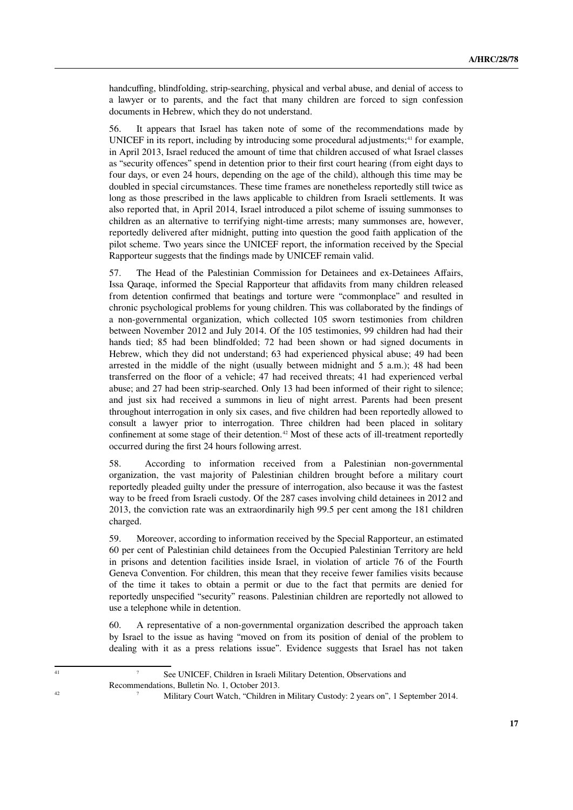handcuffing, blindfolding, strip-searching, physical and verbal abuse, and denial of access to a lawyer or to parents, and the fact that many children are forced to sign confession documents in Hebrew, which they do not understand.

56. It appears that Israel has taken note of some of the recommendations made by UNICEF in its report, including by introducing some procedural adjustments; $41$  for example, in April 2013, Israel reduced the amount of time that children accused of what Israel classes as "security offences" spend in detention prior to their first court hearing (from eight days to four days, or even 24 hours, depending on the age of the child), although this time may be doubled in special circumstances. These time frames are nonetheless reportedly still twice as long as those prescribed in the laws applicable to children from Israeli settlements. It was also reported that, in April 2014, Israel introduced a pilot scheme of issuing summonses to children as an alternative to terrifying night-time arrests; many summonses are, however, reportedly delivered after midnight, putting into question the good faith application of the pilot scheme. Two years since the UNICEF report, the information received by the Special Rapporteur suggests that the findings made by UNICEF remain valid.

57. The Head of the Palestinian Commission for Detainees and ex-Detainees Affairs, Issa Qaraqe, informed the Special Rapporteur that affidavits from many children released from detention confirmed that beatings and torture were "commonplace" and resulted in chronic psychological problems for young children. This was collaborated by the findings of a non-governmental organization, which collected 105 sworn testimonies from children between November 2012 and July 2014. Of the 105 testimonies, 99 children had had their hands tied; 85 had been blindfolded; 72 had been shown or had signed documents in Hebrew, which they did not understand; 63 had experienced physical abuse; 49 had been arrested in the middle of the night (usually between midnight and 5 a.m.); 48 had been transferred on the floor of a vehicle; 47 had received threats; 41 had experienced verbal abuse; and 27 had been strip-searched. Only 13 had been informed of their right to silence; and just six had received a summons in lieu of night arrest. Parents had been present throughout interrogation in only six cases, and five children had been reportedly allowed to consult a lawyer prior to interrogation. Three children had been placed in solitary confinement at some stage of their detention.<sup>[42](#page-16-1)</sup> Most of these acts of ill-treatment reportedly occurred during the first 24 hours following arrest.

58. According to information received from a Palestinian non-governmental organization, the vast majority of Palestinian children brought before a military court reportedly pleaded guilty under the pressure of interrogation, also because it was the fastest way to be freed from Israeli custody. Of the 287 cases involving child detainees in 2012 and 2013, the conviction rate was an extraordinarily high 99.5 per cent among the 181 children charged.

59. Moreover, according to information received by the Special Rapporteur, an estimated 60 per cent of Palestinian child detainees from the Occupied Palestinian Territory are held in prisons and detention facilities inside Israel, in violation of article 76 of the Fourth Geneva Convention. For children, this mean that they receive fewer families visits because of the time it takes to obtain a permit or due to the fact that permits are denied for reportedly unspecified "security" reasons. Palestinian children are reportedly not allowed to use a telephone while in detention.

<span id="page-16-0"></span>60. A representative of a non-governmental organization described the approach taken by Israel to the issue as having "moved on from its position of denial of the problem to dealing with it as a press relations issue". Evidence suggests that Israel has not taken

<span id="page-16-1"></span>

<sup>&</sup>lt;sup>41</sup> See UNICEF, Children in Israeli Military Detention, Observations and Recommendations, Bulletin No. 1, October 2013. <sup>42</sup> <sup>2</sup> Military Court Watch, "Children in Military Custody: 2 years on", 1 September 2014.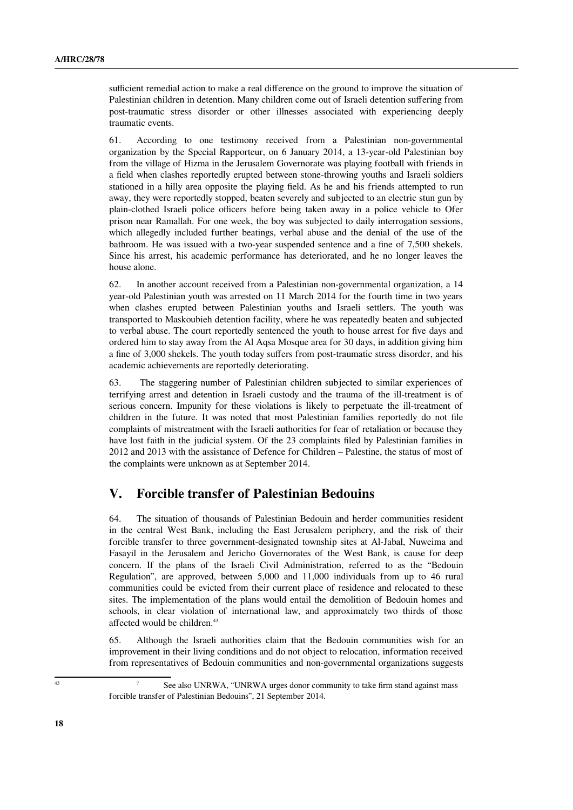sufficient remedial action to make a real difference on the ground to improve the situation of Palestinian children in detention. Many children come out of Israeli detention suffering from post-traumatic stress disorder or other illnesses associated with experiencing deeply traumatic events.

61. According to one testimony received from a Palestinian non-governmental organization by the Special Rapporteur, on 6 January 2014, a 13-year-old Palestinian boy from the village of Hizma in the Jerusalem Governorate was playing football with friends in a field when clashes reportedly erupted between stone-throwing youths and Israeli soldiers stationed in a hilly area opposite the playing field. As he and his friends attempted to run away, they were reportedly stopped, beaten severely and subjected to an electric stun gun by plain-clothed Israeli police officers before being taken away in a police vehicle to Ofer prison near Ramallah. For one week, the boy was subjected to daily interrogation sessions, which allegedly included further beatings, verbal abuse and the denial of the use of the bathroom. He was issued with a two-year suspended sentence and a fine of 7,500 shekels. Since his arrest, his academic performance has deteriorated, and he no longer leaves the house alone.

62. In another account received from a Palestinian non-governmental organization, a 14 year-old Palestinian youth was arrested on 11 March 2014 for the fourth time in two years when clashes erupted between Palestinian youths and Israeli settlers. The youth was transported to Maskoubieh detention facility, where he was repeatedly beaten and subjected to verbal abuse. The court reportedly sentenced the youth to house arrest for five days and ordered him to stay away from the Al Aqsa Mosque area for 30 days, in addition giving him a fine of 3,000 shekels. The youth today suffers from post-traumatic stress disorder, and his academic achievements are reportedly deteriorating.

63. The staggering number of Palestinian children subjected to similar experiences of terrifying arrest and detention in Israeli custody and the trauma of the ill-treatment is of serious concern. Impunity for these violations is likely to perpetuate the ill-treatment of children in the future. It was noted that most Palestinian families reportedly do not file complaints of mistreatment with the Israeli authorities for fear of retaliation or because they have lost faith in the judicial system. Of the 23 complaints filed by Palestinian families in 2012 and 2013 with the assistance of Defence for Children – Palestine, the status of most of the complaints were unknown as at September 2014.

## **V. Forcible transfer of Palestinian Bedouins**

64. The situation of thousands of Palestinian Bedouin and herder communities resident in the central West Bank, including the East Jerusalem periphery, and the risk of their forcible transfer to three government-designated township sites at Al-Jabal, Nuweima and Fasayil in the Jerusalem and Jericho Governorates of the West Bank, is cause for deep concern. If the plans of the Israeli Civil Administration, referred to as the "Bedouin Regulation", are approved, between 5,000 and 11,000 individuals from up to 46 rural communities could be evicted from their current place of residence and relocated to these sites. The implementation of the plans would entail the demolition of Bedouin homes and schools, in clear violation of international law, and approximately two thirds of those affected would be children.<sup>[43](#page-17-0)</sup>

<span id="page-17-0"></span>65. Although the Israeli authorities claim that the Bedouin communities wish for an improvement in their living conditions and do not object to relocation, information received from representatives of Bedouin communities and non-governmental organizations suggests

<sup>&</sup>lt;sup>43</sup> See also UNRWA, "UNRWA urges donor community to take firm stand against mass forcible transfer of Palestinian Bedouins", 21 September 2014.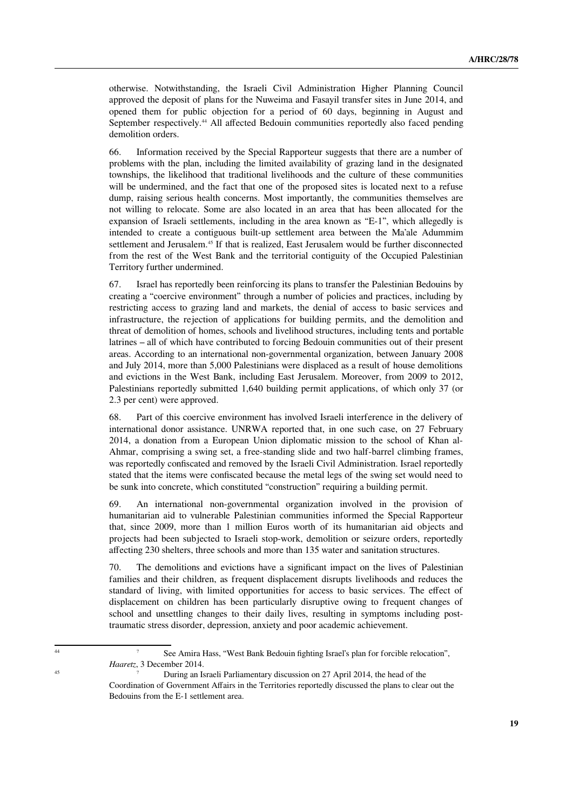otherwise. Notwithstanding, the Israeli Civil Administration Higher Planning Council approved the deposit of plans for the Nuweima and Fasayil transfer sites in June 2014, and opened them for public objection for a period of 60 days, beginning in August and September respectively.<sup>[44](#page-18-0)</sup> All affected Bedouin communities reportedly also faced pending demolition orders.

66. Information received by the Special Rapporteur suggests that there are a number of problems with the plan, including the limited availability of grazing land in the designated townships, the likelihood that traditional livelihoods and the culture of these communities will be undermined, and the fact that one of the proposed sites is located next to a refuse dump, raising serious health concerns. Most importantly, the communities themselves are not willing to relocate. Some are also located in an area that has been allocated for the expansion of Israeli settlements, including in the area known as "E-1", which allegedly is intended to create a contiguous built-up settlement area between the Ma'ale Adummim settlement and Jerusalem.<sup>[45](#page-18-1)</sup> If that is realized, East Jerusalem would be further disconnected from the rest of the West Bank and the territorial contiguity of the Occupied Palestinian Territory further undermined.

67. Israel has reportedly been reinforcing its plans to transfer the Palestinian Bedouins by creating a "coercive environment" through a number of policies and practices, including by restricting access to grazing land and markets, the denial of access to basic services and infrastructure, the rejection of applications for building permits, and the demolition and threat of demolition of homes, schools and livelihood structures, including tents and portable latrines – all of which have contributed to forcing Bedouin communities out of their present areas. According to an international non-governmental organization, between January 2008 and July 2014, more than 5,000 Palestinians were displaced as a result of house demolitions and evictions in the West Bank, including East Jerusalem. Moreover, from 2009 to 2012, Palestinians reportedly submitted 1,640 building permit applications, of which only 37 (or 2.3 per cent) were approved.

68. Part of this coercive environment has involved Israeli interference in the delivery of international donor assistance. UNRWA reported that, in one such case, on 27 February 2014, a donation from a European Union diplomatic mission to the school of Khan al-Ahmar, comprising a swing set, a free-standing slide and two half-barrel climbing frames, was reportedly confiscated and removed by the Israeli Civil Administration. Israel reportedly stated that the items were confiscated because the metal legs of the swing set would need to be sunk into concrete, which constituted "construction" requiring a building permit.

69. An international non-governmental organization involved in the provision of humanitarian aid to vulnerable Palestinian communities informed the Special Rapporteur that, since 2009, more than 1 million Euros worth of its humanitarian aid objects and projects had been subjected to Israeli stop-work, demolition or seizure orders, reportedly affecting 230 shelters, three schools and more than 135 water and sanitation structures.

70. The demolitions and evictions have a significant impact on the lives of Palestinian families and their children, as frequent displacement disrupts livelihoods and reduces the standard of living, with limited opportunities for access to basic services. The effect of displacement on children has been particularly disruptive owing to frequent changes of school and unsettling changes to their daily lives, resulting in symptoms including posttraumatic stress disorder, depression, anxiety and poor academic achievement.

<sup>44</sup> ? See Amira Hass, "West Bank Bedouin fighting Israel's plan for forcible relocation", *Haaretz*, 3 December 2014.

<span id="page-18-1"></span><span id="page-18-0"></span>During an Israeli Parliamentary discussion on 27 April 2014, the head of the Coordination of Government Affairs in the Territories reportedly discussed the plans to clear out the Bedouins from the E-1 settlement area.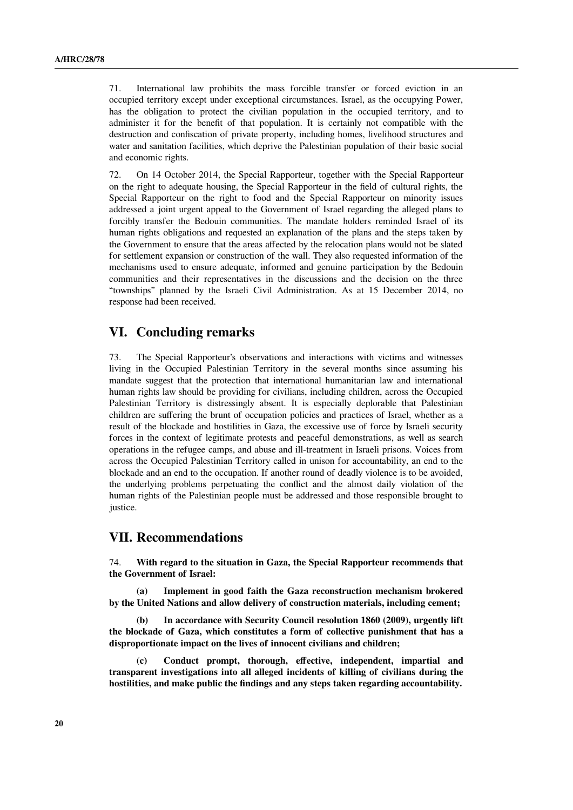71. International law prohibits the mass forcible transfer or forced eviction in an occupied territory except under exceptional circumstances. Israel, as the occupying Power, has the obligation to protect the civilian population in the occupied territory, and to administer it for the benefit of that population. It is certainly not compatible with the destruction and confiscation of private property, including homes, livelihood structures and water and sanitation facilities, which deprive the Palestinian population of their basic social and economic rights.

72. On 14 October 2014, the Special Rapporteur, together with the Special Rapporteur on the right to adequate housing, the Special Rapporteur in the field of cultural rights, the Special Rapporteur on the right to food and the Special Rapporteur on minority issues addressed a joint urgent appeal to the Government of Israel regarding the alleged plans to forcibly transfer the Bedouin communities. The mandate holders reminded Israel of its human rights obligations and requested an explanation of the plans and the steps taken by the Government to ensure that the areas affected by the relocation plans would not be slated for settlement expansion or construction of the wall. They also requested information of the mechanisms used to ensure adequate, informed and genuine participation by the Bedouin communities and their representatives in the discussions and the decision on the three "townships" planned by the Israeli Civil Administration. As at 15 December 2014, no response had been received.

## **VI. Concluding remarks**

73. The Special Rapporteur's observations and interactions with victims and witnesses living in the Occupied Palestinian Territory in the several months since assuming his mandate suggest that the protection that international humanitarian law and international human rights law should be providing for civilians, including children, across the Occupied Palestinian Territory is distressingly absent. It is especially deplorable that Palestinian children are suffering the brunt of occupation policies and practices of Israel, whether as a result of the blockade and hostilities in Gaza, the excessive use of force by Israeli security forces in the context of legitimate protests and peaceful demonstrations, as well as search operations in the refugee camps, and abuse and ill-treatment in Israeli prisons. Voices from across the Occupied Palestinian Territory called in unison for accountability, an end to the blockade and an end to the occupation. If another round of deadly violence is to be avoided, the underlying problems perpetuating the conflict and the almost daily violation of the human rights of the Palestinian people must be addressed and those responsible brought to justice.

### **VII. Recommendations**

74. **With regard to the situation in Gaza, the Special Rapporteur recommends that the Government of Israel:** 

**(a) Implement in good faith the Gaza reconstruction mechanism brokered by the United Nations and allow delivery of construction materials, including cement;**

**(b) In accordance with Security Council resolution 1860 (2009), urgently lift the blockade of Gaza, which constitutes a form of collective punishment that has a disproportionate impact on the lives of innocent civilians and children;** 

**(c) Conduct prompt, thorough, effective, independent, impartial and transparent investigations into all alleged incidents of killing of civilians during the hostilities, and make public the findings and any steps taken regarding accountability.**